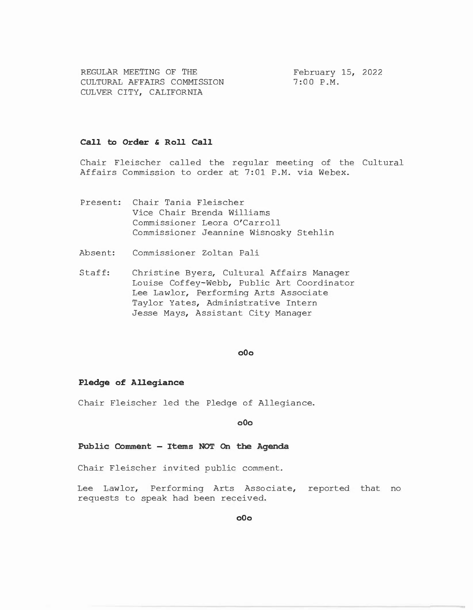REGULAR MEETING OF THE CULTURAL AFFAIRS COMMISSION CULVER CITY, CALIFORNIA

February 15, 2022 7:00 P.M.

# **Call to Order & Roll Call**

Chair Fleischer called the regular meeting of the Cultural Affairs Commission to order at 7:01 P.M. via Webex.

- Present: Chair Tania Fleischer Vice Chair Brenda Williams Commissioner Leora O'Carroll Commissioner Jeannine Wisnosky Stehlin
- Absent: Commissioner Zoltan Pali
- Staff: Christine Byers, Cultural Affairs Manager Louise Coffey-Webb, Public Art Coordinator Lee Lawlor, Performing Arts Associate Taylor Yates, Administrative Intern Jesse Mays, Assistant City Manager

## **o0o**

#### **Pledge of Allegiance**

Chair Fleischer led the Pledge of Allegiance.

# **o0o**

# **Public Comment - Items NOT On the Agenda**

Chair Fleischer invited public comment.

Lee Lawlor, Performing Arts Associate, reported that no requests to speak had been received.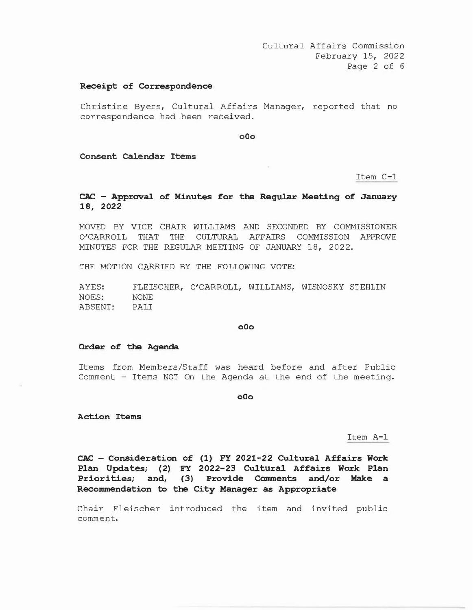## **Receipt of Correspondence**

Christine Byers, Cultural Affairs Manager, reported that no correspondence had been received.

**o0o** 

**Consent Calendar Items** 

Item C-1

# **CAC - Approval of Minutes for the Regular Meeting of January 18, 2022**

MOVED BY VICE CHAIR WILLIAMS AND SECONDED BY COMMISSIONER O'CARROLL THAT THE CULTURAL AFFAIRS COMMISSION APPROVE MINUTES FOR THE REGULAR MEETING OF JANUARY 18, 2022.

THE MOTION CARRIED BY THE FOLLOWING VOTE:

AYES: NOES: ABSENT: FLEISCHER, O'CARROLL, WILLIAMS, WISNOSKY STEHLIN NONE PALI

## **o0o**

#### **Order of the Agenda**

Items from Members/Staff was heard before and after Public Comment - Items NOT On the Agenda at the end of the meeting.

**o0o** 

**Action Items** 

Item A-1

**CAC - Consideration of (1) FY 2021-22 Cultural Affairs Work Plan Updates; (2) FY 2022-23 Cultural Affairs Work Plan Priorities; and, (3) Provide Comments and/or Make a Recommendation to the City Manager as Appropriate** 

Chair Fleischer introduced the item and invited public comment.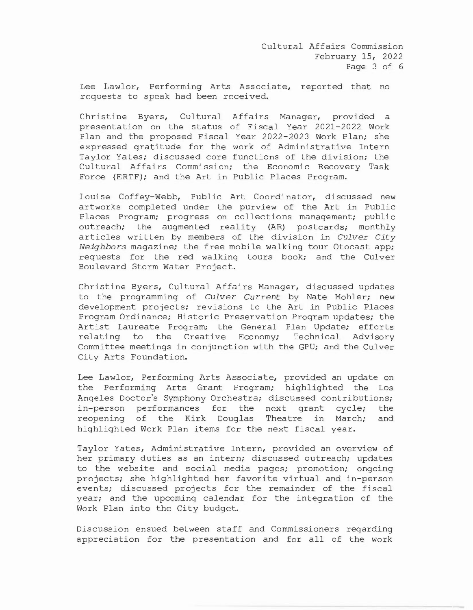Lee Lawlor, Performing Arts Associate, reported that no requests to speak had been received.

Christine Byers, Cultural Affairs Manager, provided a presentation on the status of Fiscal Year 2021-2022 Work Plan and the proposed Fiscal Year 2022-2023 Work Plan; she expressed gratitude for the work of Administrative Intern Taylor Yates; discussed core functions of the division; the Cultural Affairs Commission; the Economic Recovery Task Force (ERTF); and the Art in Public Places Program.

Louise Coffey-Webb, Public Art Coordinator, discussed new artworks completed under the purview of the Art in Public Places Program; progress on collections management; public outreach; the augmented reality (AR) postcards; monthly articles written by members of the division in *Culver City Neighbors* magazine; the free mobile walking tour Otocast app; requests for the red walking tours book; and the Culver Boulevard Storm Water Project.

Christine Byers, Cultural Affairs Manager, discussed updates to the programming of *Culver Current* by Nate Mohler; new development projects; revisions to the Art in Public Places Program Ordinance; Historic Preservation Program updates; the Artist Laureate Program; the General Plan Update; efforts relating to the Creative Economy; Technical Advisory Committee meetings in conjunction with the GPU; and the Culver City Arts Foundation.

Lee Lawlor, Performing Arts Associate, provided an update on the Performing Arts Grant Program; highlighted the Los Angeles Doctor's Symphony Orchestra; discussed contributions; in-person performances for the next grant cycle; the reopening of the Kirk Douglas Theatre in March; and highlighted Work Plan items for the next fiscal year.

Taylor Yates, Administrative Intern, provided an overview of her primary duties as an intern; discussed outreach; updates to the website and social media pages; promotion; ongoing projects; she highlighted her favorite virtual and in-person events; discussed projects for the remainder of the fiscal year; and the upcoming calendar for the integration of the Work Plan into the City budget.

Discussion ensued between staff and Commissioners regarding appreciation for the presentation and for all of the work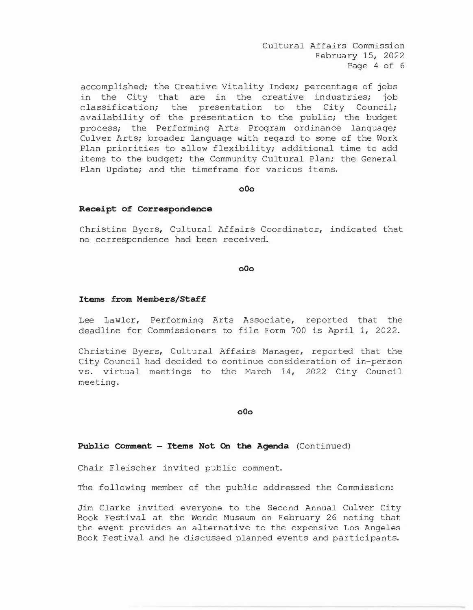Cultural Affairs Commission February 15, 2022 Page 4 of 6

accomplished; the Creative Vitality Index; percentage of jobs in the City that are in the creative industries; job classification; the presentation to the City Council; availability of the presentation to the public; the budget process; the Performing Arts Program ordinance language; Culver Arts; broader language with regard to some of the Work Plan priorities to allow flexibility; additional time to add items to the budget; the Community Cultural Plan; the General Plan Update; and the timeframe for various items.

#### **oOo**

# **Receipt of Correspondence**

Christine Byers, Cultural Affairs Coordinator, indicated that no correspondence had been received.

### **oOo**

#### **Items from Members/Staff**

Lee Lawlor, Performing Arts Associate, reported that the deadline for Commissioners to file Form 700 is April 1, 2022.

Christine Byers, Cultural Affairs Manager, reported that the City Council had decided to continue consideration of in-person vs. virtual meetings to the March 14, 2022 City Council meeting.

**oOo** 

## **Public Comment - Items Not On the Agenda** (Continued)

Chair Fleischer invited public comment.

The following member of the public addressed the Commission:

Jim Clarke invited everyone to the Second Annual Culver City Book Festival at the Wende Museum on February 26 noting that the event provides an alternative to the expensive Los Angeles Book Festival and he discussed planned events and participants.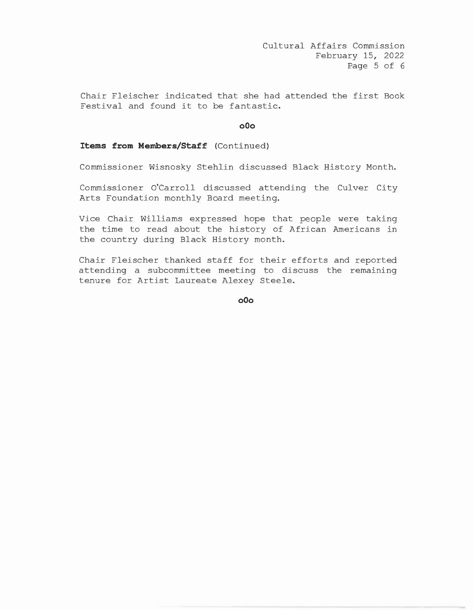Chair Fleischer indicated that she had attended the first Book Festival and found it to be fantastic.

## **oOo**

# **Items from Members/Staff** (Continued)

Commissioner Wisnosky Stehlin discussed Black History Month.

Commissioner O'Carroll discussed attending the Culver City Arts Foundation monthly Board meeting.

Vice Chair Williams expressed hope that people were taking the time to read about the history of African Americans in the country during Black History month.

Chair Fleischer thanked staff for their efforts and reported attending a subcommittee meeting to discuss the remaining tenure for Artist Laureate Alexey Steele.

**oOo**